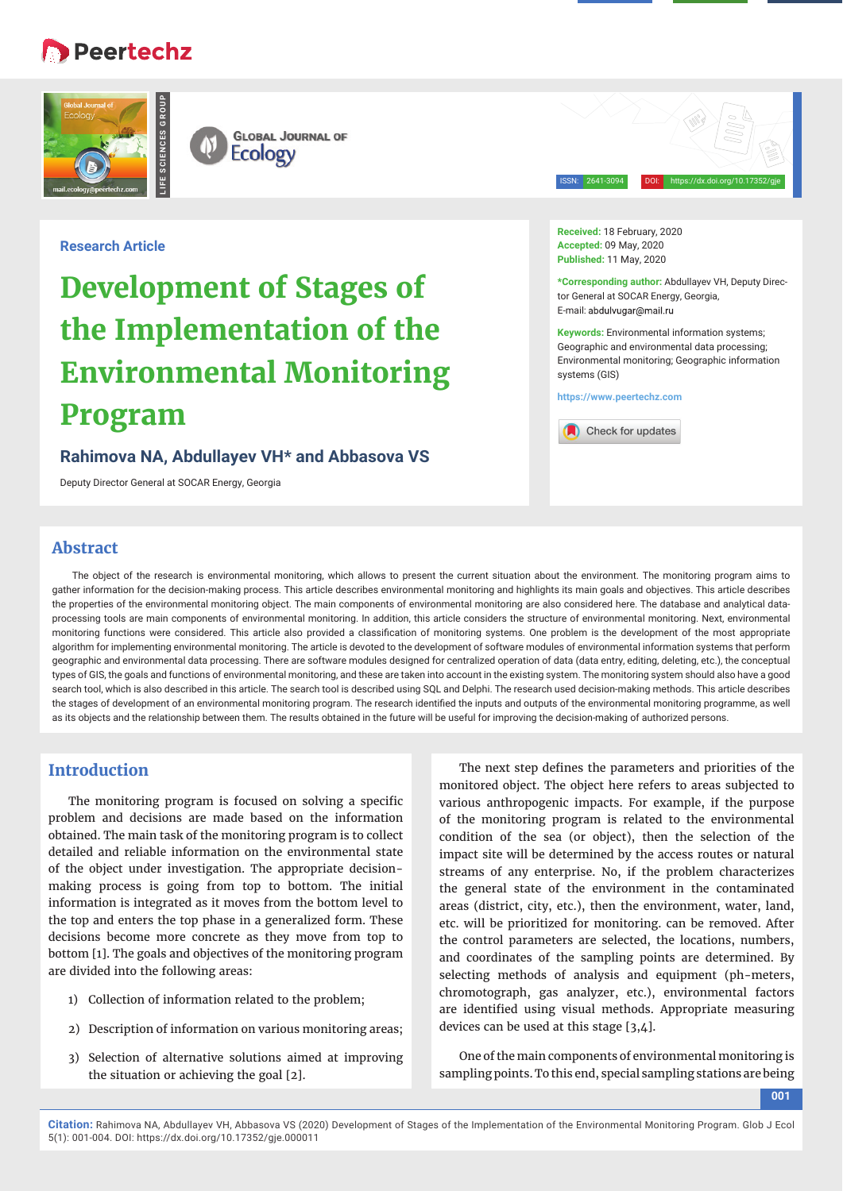# **B** Peertechz





ISSN: 2641-3094 DOI: https://dx.doi.org/10.17352/gje

**Research Article**

# **Development of Stages of the Implementation of the Environmental Monitoring Program**

### **Rahimova NA, Abdullayev VH\* and Abbasova VS**

Deputy Director General at SOCAR Energy, Georgia

**Received:** 18 February, 2020 **Accepted:** 09 May, 2020 **Published:** 11 May, 2020

**\*Corresponding author:** Abdullayev VH, Deputy Director General at SOCAR Energy, Georgia, E-mail: abdulvugar@mail.ru

**Keywords:** Environmental information systems; Geographic and environmental data processing; Environmental monitoring; Geographic information systems (GIS)

**https://www.peertechz.com**



## **Abstract**

The object of the research is environmental monitoring, which allows to present the current situation about the environment. The monitoring program aims to gather information for the decision-making process. This article describes environmental monitoring and highlights its main goals and objectives. This article describes the properties of the environmental monitoring object. The main components of environmental monitoring are also considered here. The database and analytical dataprocessing tools are main components of environmental monitoring. In addition, this article considers the structure of environmental monitoring. Next, environmental monitoring functions were considered. This article also provided a classification of monitoring systems. One problem is the development of the most appropriate algorithm for implementing environmental monitoring. The article is devoted to the development of software modules of environmental information systems that perform geographic and environmental data processing. There are software modules designed for centralized operation of data (data entry, editing, deleting, etc.), the conceptual types of GIS, the goals and functions of environmental monitoring, and these are taken into account in the existing system. The monitoring system should also have a good search tool, which is also described in this article. The search tool is described using SQL and Delphi. The research used decision-making methods. This article describes the stages of development of an environmental monitoring program. The research identified the inputs and outputs of the environmental monitoring programme, as well as its objects and the relationship between them. The results obtained in the future will be useful for improving the decision-making of authorized persons.

# **Introduction**

The monitoring program is focused on solving a specific problem and decisions are made based on the information obtained. The main task of the monitoring program is to collect detailed and reliable information on the environmental state of the object under investigation. The appropriate decisionmaking process is going from top to bottom. The initial information is integrated as it moves from the bottom level to the top and enters the top phase in a generalized form. These decisions become more concrete as they move from top to bottom [1]. The goals and objectives of the monitoring program are divided into the following areas:

- 1) Collection of information related to the problem;
- 2) Description of information on various monitoring areas;
- 3) Selection of alternative solutions aimed at improving the situation or achieving the goal [2].

The next step defines the parameters and priorities of the monitored object. The object here refers to areas subjected to various anthropogenic impacts. For example, if the purpose of the monitoring program is related to the environmental condition of the sea (or object), then the selection of the impact site will be determined by the access routes or natural streams of any enterprise. No, if the problem characterizes the general state of the environment in the contaminated areas (district, city, etc.), then the environment, water, land, etc. will be prioritized for monitoring. can be removed. After the control parameters are selected, the locations, numbers, and coordinates of the sampling points are determined. By selecting methods of analysis and equipment (ph-meters, chromotograph, gas analyzer, etc.), environmental factors are identified using visual methods. Appropriate measuring devices can be used at this stage [3,4].

One of the main components of environmental monitoring is sampling points. To this end, special sampling stations are being

**001**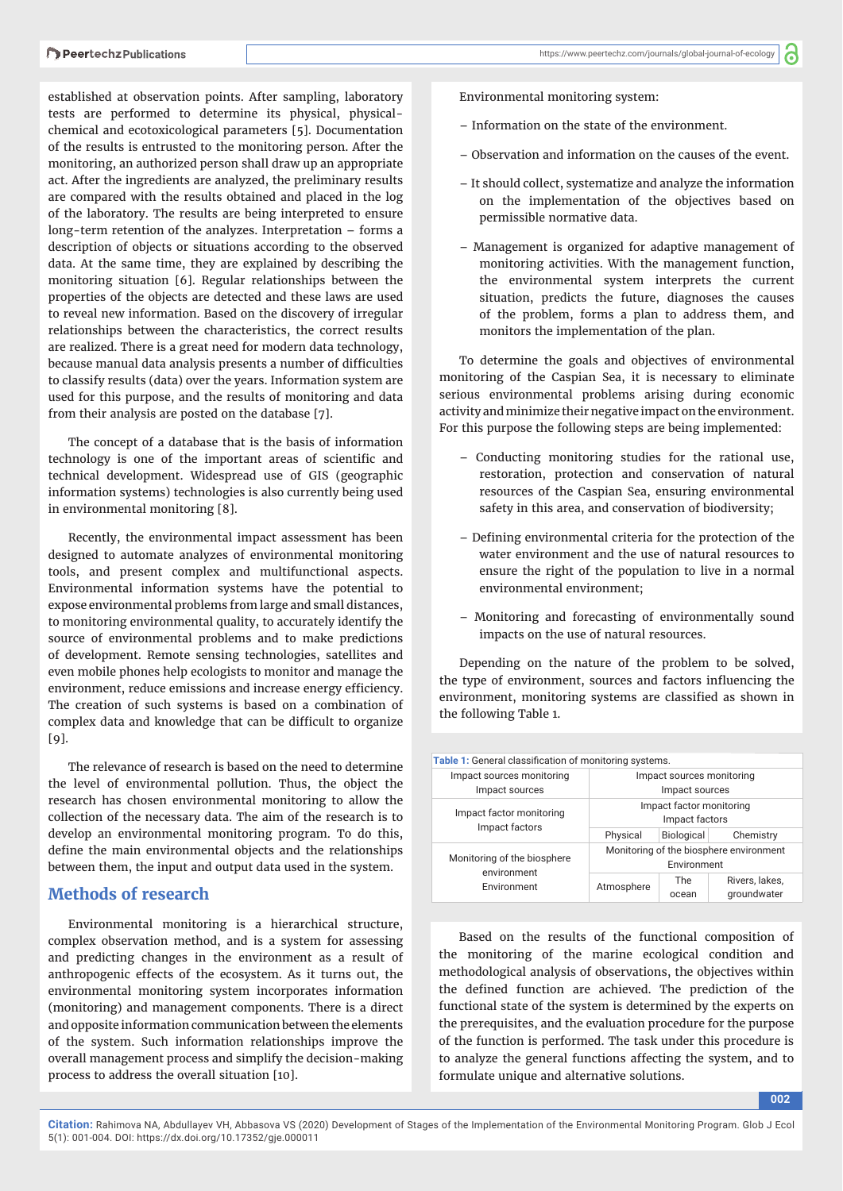ි

established at observation points. After sampling, laboratory tests are performed to determine its physical, physicalchemical and ecotoxicological parameters [5]. Documentation of the results is entrusted to the monitoring person. After the monitoring, an authorized person shall draw up an appropriate act. After the ingredients are analyzed, the preliminary results are compared with the results obtained and placed in the log of the laboratory. The results are being interpreted to ensure long-term retention of the analyzes. Interpretation – forms a description of objects or situations according to the observed data. At the same time, they are explained by describing the monitoring situation [6]. Regular relationships between the properties of the objects are detected and these laws are used to reveal new information. Based on the discovery of irregular relationships between the characteristics, the correct results are realized. There is a great need for modern data technology, because manual data analysis presents a number of difficulties to classify results (data) over the years. Information system are used for this purpose, and the results of monitoring and data from their analysis are posted on the database [7].

The concept of a database that is the basis of information technology is one of the important areas of scientific and technical development. Widespread use of GIS (geographic information systems) technologies is also currently being used in environmental monitoring [8].

Recently, the environmental impact assessment has been designed to automate analyzes of environmental monitoring tools, and present complex and multifunctional aspects. Environmental information systems have the potential to expose environmental problems from large and small distances, to monitoring environmental quality, to accurately identify the source of environmental problems and to make predictions of development. Remote sensing technologies, satellites and even mobile phones help ecologists to monitor and manage the environment, reduce emissions and increase energy efficiency. The creation of such systems is based on a combination of complex data and knowledge that can be difficult to organize [9].

The relevance of research is based on the need to determine the level of environmental pollution. Thus, the object the research has chosen environmental monitoring to allow the collection of the necessary data. The aim of the research is to develop an environmental monitoring program. To do this, define the main environmental objects and the relationships between them, the input and output data used in the system.

### **Methods of research**

Environmental monitoring is a hierarchical structure, complex observation method, and is a system for assessing and predicting changes in the environment as a result of anthropogenic effects of the ecosystem. As it turns out, the environmental monitoring system incorporates information (monitoring) and management components. There is a direct and opposite information communication between the elements of the system. Such information relationships improve the overall management process and simplify the decision-making process to address the overall situation [10].

Environmental monitoring system:

- Information on the state of the environment.
- Observation and information on the causes of the event.
- It should collect, systematize and analyze the information on the implementation of the objectives based on permissible normative data.
- Management is organized for adaptive management of monitoring activities. With the management function, the environmental system interprets the current situation, predicts the future, diagnoses the causes of the problem, forms a plan to address them, and monitors the implementation of the plan.

To determine the goals and objectives of environmental monitoring of the Caspian Sea, it is necessary to eliminate serious environmental problems arising during economic activity and minimize their negative impact on the environment. For this purpose the following steps are being implemented:

- Conducting monitoring studies for the rational use, restoration, protection and conservation of natural resources of the Caspian Sea, ensuring environmental safety in this area, and conservation of biodiversity;
- Defining environmental criteria for the protection of the water environment and the use of natural resources to ensure the right of the population to live in a normal environmental environment;
- Monitoring and forecasting of environmentally sound impacts on the use of natural resources.

Depending on the nature of the problem to be solved, the type of environment, sources and factors influencing the environment, monitoring systems are classified as shown in the following Table 1.

| <b>Table 1:</b> General classification of monitoring systems. |                                         |                   |                |
|---------------------------------------------------------------|-----------------------------------------|-------------------|----------------|
| Impact sources monitoring                                     | Impact sources monitoring               |                   |                |
| Impact sources                                                | Impact sources                          |                   |                |
| Impact factor monitoring<br>Impact factors                    | Impact factor monitoring                |                   |                |
|                                                               | Impact factors                          |                   |                |
|                                                               | Physical                                | <b>Biological</b> | Chemistry      |
| Monitoring of the biosphere<br>environment<br>Environment     | Monitoring of the biosphere environment |                   |                |
|                                                               | Environment                             |                   |                |
|                                                               | Atmosphere                              | The               | Rivers, lakes, |
|                                                               |                                         | ocean             | groundwater    |

Based on the results of the functional composition of the monitoring of the marine ecological condition and methodological analysis of observations, the objectives within the defined function are achieved. The prediction of the functional state of the system is determined by the experts on the prerequisites, and the evaluation procedure for the purpose of the function is performed. The task under this procedure is to analyze the general functions affecting the system, and to formulate unique and alternative solutions.

**002**

**Citation:** Rahimova NA, Abdullayev VH, Abbasova VS (2020) Development of Stages of the Implementation of the Environmental Monitoring Program. Glob J Ecol 5(1): 001-004. DOI: https://dx.doi.org/10.17352/gje.000011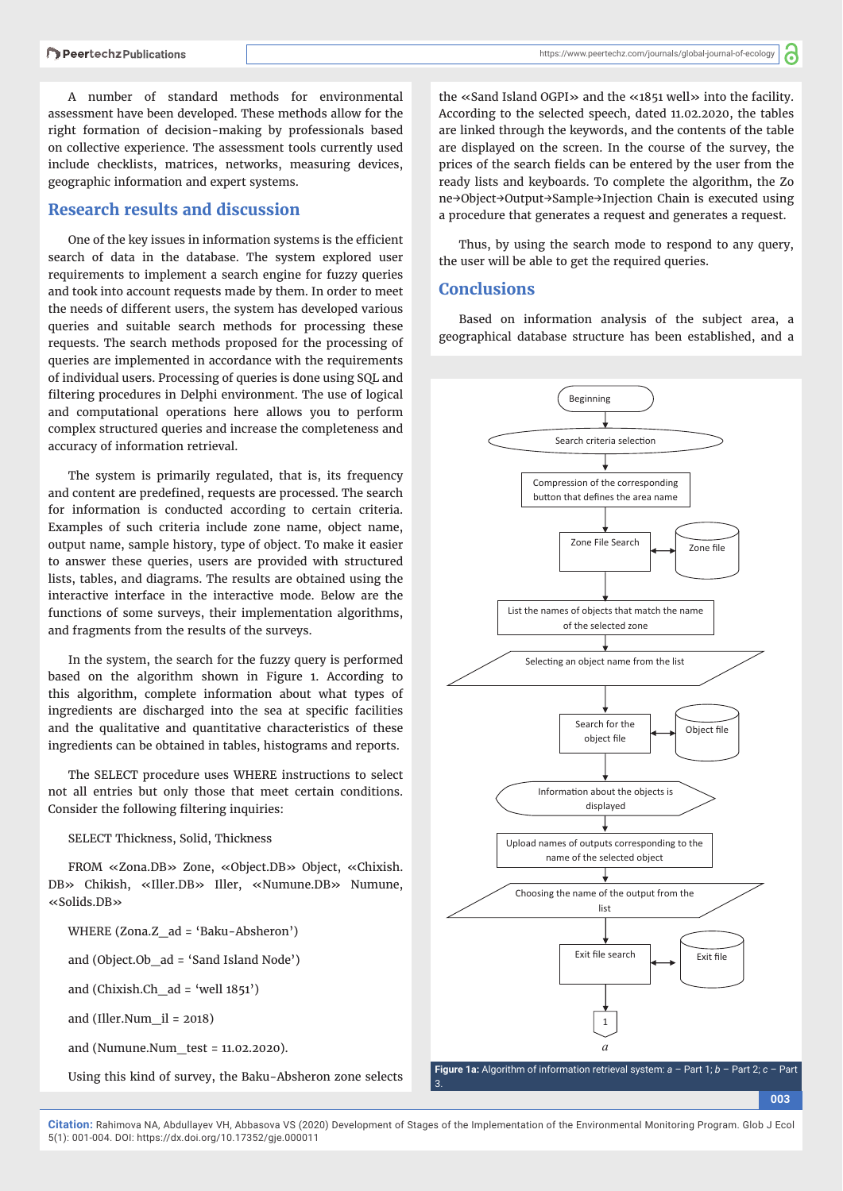A number of standard methods for environmental assessment have been developed. These methods allow for the right formation of decision-making by professionals based on collective experience. The assessment tools currently used include checklists, matrices, networks, measuring devices, geographic information and expert systems.

#### **Research results and discussion**

One of the key issues in information systems is the efficient search of data in the database. The system explored user requirements to implement a search engine for fuzzy queries and took into account requests made by them. In order to meet the needs of different users, the system has developed various queries and suitable search methods for processing these requests. The search methods proposed for the processing of queries are implemented in accordance with the requirements of individual users. Processing of queries is done using SQL and filtering procedures in Delphi environment. The use of logical and computational operations here allows you to perform complex structured queries and increase the completeness and accuracy of information retrieval.

The system is primarily regulated, that is, its frequency and content are predefined, requests are processed. The search for information is conducted according to certain criteria. Examples of such criteria include zone name, object name, output name, sample history, type of object. To make it easier to answer these queries, users are provided with structured lists, tables, and diagrams. The results are obtained using the interactive interface in the interactive mode. Below are the functions of some surveys, their implementation algorithms, and fragments from the results of the surveys.

In the system, the search for the fuzzy query is performed based on the algorithm shown in Figure 1. According to this algorithm, complete information about what types of ingredients are discharged into the sea at specific facilities and the qualitative and quantitative characteristics of these ingredients can be obtained in tables, histograms and reports.

The SELECT procedure uses WHERE instructions to select not all entries but only those that meet certain conditions. Consider the following filtering inquiries:

SELECT Thickness, Solid, Thickness

FROM «Zona.DB» Zone, «Object.DB» Object, «Chixish. DB» Chikish, «Iller.DB» Iller, «Numune.DB» Numune, «Solids.DB»

WHERE (Zona.Z\_ad = 'Baku-Absheron')

and (Object.Ob\_ad = 'Sand Island Node')

and (Chixish.Ch\_ad = 'well  $1851'$ )

and (Iller.Num\_il = 2018)

and (Numune.Num  $test = 11.02.2020$ ).

Using this kind of survey, the Baku-Absheron zone selects

the «Sand Island OGPI» and the «1851 well» into the facility. According to the selected speech, dated 11.02.2020, the tables are linked through the keywords, and the contents of the table are displayed on the screen. In the course of the survey, the prices of the search fields can be entered by the user from the ready lists and keyboards. To complete the algorithm, the Zo ne→Object→Output→Sample→Injection Chain is executed using a procedure that generates a request and generates a request.

Thus, by using the search mode to respond to any query, the user will be able to get the required queries.

#### **Conclusions**

Based on information analysis of the subject area, a geographical database structure has been established, and a



**Citation:** Rahimova NA, Abdullayev VH, Abbasova VS (2020) Development of Stages of the Implementation of the Environmental Monitoring Program. Glob J Ecol 5(1): 001-004. DOI: https://dx.doi.org/10.17352/gje.000011